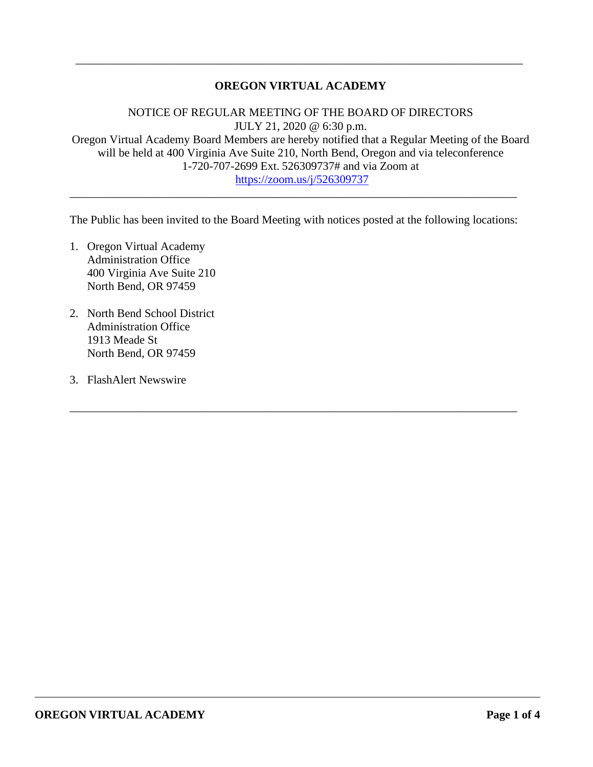## **OREGON VIRTUAL ACADEMY**

\_\_\_\_\_\_\_\_\_\_\_\_\_\_\_\_\_\_\_\_\_\_\_\_\_\_\_\_\_\_\_\_\_\_\_\_\_\_\_\_\_\_\_\_\_\_\_\_\_\_\_\_\_\_\_\_\_\_\_\_\_\_\_\_\_\_\_\_\_\_\_\_\_\_\_\_\_

NOTICE OF REGULAR MEETING OF THE BOARD OF DIRECTORS JULY 21, 2020 @ 6:30 p.m. Oregon Virtual Academy Board Members are hereby notified that a Regular Meeting of the Board will be held at 400 Virginia Ave Suite 210, North Bend, Oregon and via teleconference 1-720-707-2699 Ext. 526309737# and via Zoom at https://zoom.us/j/526309737

The Public has been invited to the Board Meeting with notices posted at the following locations:

\_\_\_\_\_\_\_\_\_\_\_\_\_\_\_\_\_\_\_\_\_\_\_\_\_\_\_\_\_\_\_\_\_\_\_\_\_\_\_\_\_\_\_\_\_\_\_\_\_\_\_\_\_\_\_\_\_\_\_\_\_\_\_\_\_\_\_\_\_\_\_\_\_\_\_\_\_

\_\_\_\_\_\_\_\_\_\_\_\_\_\_\_\_\_\_\_\_\_\_\_\_\_\_\_\_\_\_\_\_\_\_\_\_\_\_\_\_\_\_\_\_\_\_\_\_\_\_\_\_\_\_\_\_\_\_\_\_\_\_\_\_\_\_\_\_\_\_\_\_\_\_\_\_\_

- 1. Oregon Virtual Academy Administration Office 400 Virginia Ave Suite 210 North Bend, OR 97459
- 2. North Bend School District Administration Office 1913 Meade St North Bend, OR 97459
- 3. FlashAlert Newswire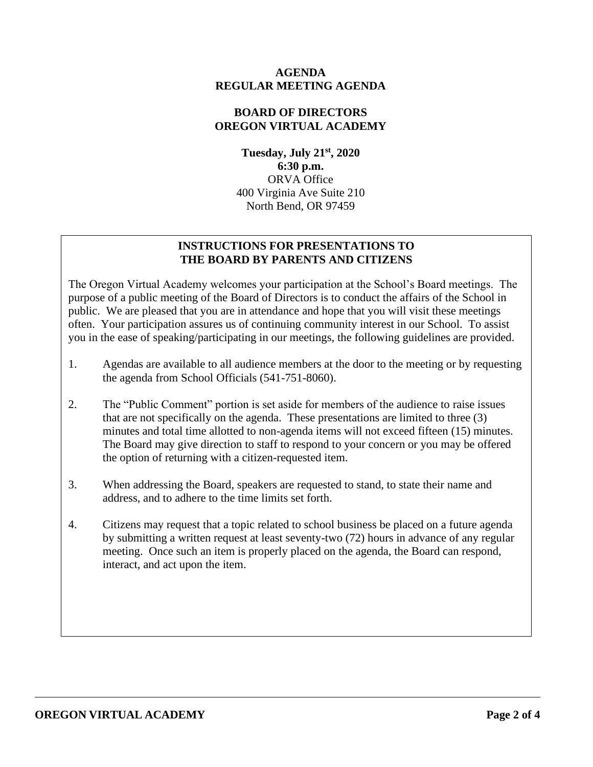### **AGENDA REGULAR MEETING AGENDA**

### **BOARD OF DIRECTORS OREGON VIRTUAL ACADEMY**

**Tuesday, July 21st, 2020 6:30 p.m.** ORVA Office 400 Virginia Ave Suite 210 North Bend, OR 97459

# **INSTRUCTIONS FOR PRESENTATIONS TO THE BOARD BY PARENTS AND CITIZENS**

The Oregon Virtual Academy welcomes your participation at the School's Board meetings. The purpose of a public meeting of the Board of Directors is to conduct the affairs of the School in public. We are pleased that you are in attendance and hope that you will visit these meetings often. Your participation assures us of continuing community interest in our School. To assist you in the ease of speaking/participating in our meetings, the following guidelines are provided.

- 1. Agendas are available to all audience members at the door to the meeting or by requesting the agenda from School Officials (541-751-8060).
- 2. The "Public Comment" portion is set aside for members of the audience to raise issues that are not specifically on the agenda. These presentations are limited to three (3) minutes and total time allotted to non-agenda items will not exceed fifteen (15) minutes. The Board may give direction to staff to respond to your concern or you may be offered the option of returning with a citizen-requested item.
- 3. When addressing the Board, speakers are requested to stand, to state their name and address, and to adhere to the time limits set forth.
- 4. Citizens may request that a topic related to school business be placed on a future agenda by submitting a written request at least seventy-two (72) hours in advance of any regular meeting. Once such an item is properly placed on the agenda, the Board can respond, interact, and act upon the item.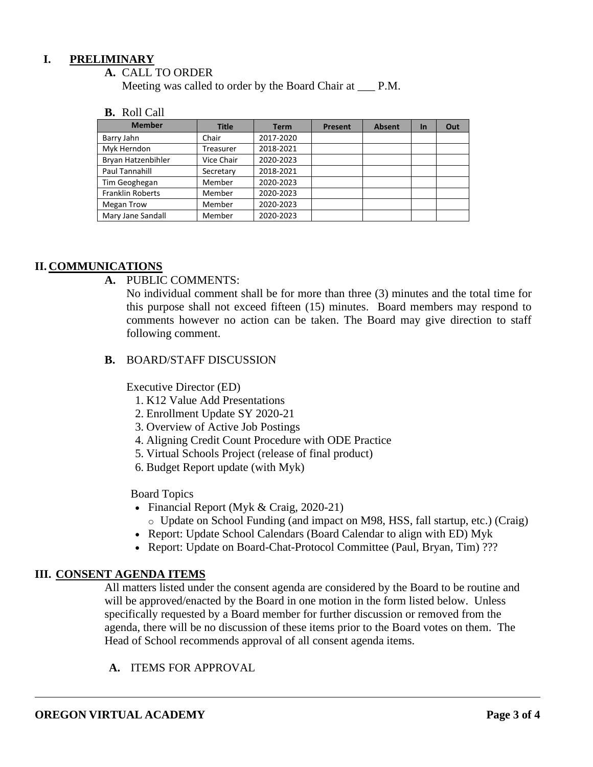### **I. PRELIMINARY**

#### **A.** CALL TO ORDER

Meeting was called to order by the Board Chair at  $\qquad$  P.M.

#### **B.** Roll Call

| <b>Member</b>           | <b>Title</b> | <b>Term</b> | <b>Present</b> | <b>Absent</b> | <b>In</b> | Out |
|-------------------------|--------------|-------------|----------------|---------------|-----------|-----|
| Barry Jahn              | Chair        | 2017-2020   |                |               |           |     |
| Myk Herndon             | Treasurer    | 2018-2021   |                |               |           |     |
| Bryan Hatzenbihler      | Vice Chair   | 2020-2023   |                |               |           |     |
| Paul Tannahill          | Secretary    | 2018-2021   |                |               |           |     |
| Tim Geoghegan           | Member       | 2020-2023   |                |               |           |     |
| <b>Franklin Roberts</b> | Member       | 2020-2023   |                |               |           |     |
| <b>Megan Trow</b>       | Member       | 2020-2023   |                |               |           |     |
| Mary Jane Sandall       | Member       | 2020-2023   |                |               |           |     |

### **II. COMMUNICATIONS**

**A.** PUBLIC COMMENTS:

No individual comment shall be for more than three (3) minutes and the total time for this purpose shall not exceed fifteen (15) minutes. Board members may respond to comments however no action can be taken. The Board may give direction to staff following comment.

### **B.** BOARD/STAFF DISCUSSION

Executive Director (ED)

- 1. K12 Value Add Presentations
- 2. Enrollment Update SY 2020-21
- 3. Overview of Active Job Postings
- 4. Aligning Credit Count Procedure with ODE Practice
- 5. Virtual Schools Project (release of final product)
- 6. Budget Report update (with Myk)

### Board Topics

- Financial Report (Myk & Craig, 2020-21)
	- o Update on School Funding (and impact on M98, HSS, fall startup, etc.) (Craig)
- Report: Update School Calendars (Board Calendar to align with ED) Myk
- Report: Update on Board-Chat-Protocol Committee (Paul, Bryan, Tim) ???

### **III. CONSENT AGENDA ITEMS**

All matters listed under the consent agenda are considered by the Board to be routine and will be approved/enacted by the Board in one motion in the form listed below. Unless specifically requested by a Board member for further discussion or removed from the agenda, there will be no discussion of these items prior to the Board votes on them. The Head of School recommends approval of all consent agenda items.

**A.** ITEMS FOR APPROVAL